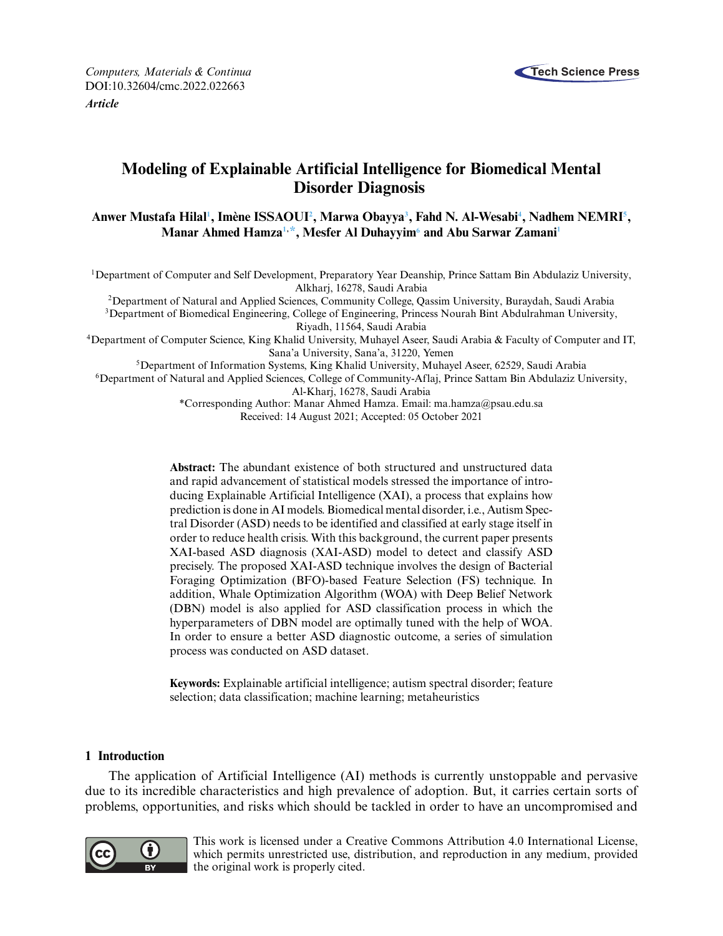

*Computers, Materials & Continua* **Tech Science Press** DOI[:10.32604/cmc.2022.022663](http://dx.doi.org/10.32604/cmc.2022.022663) *Article*

# **Modeling of Explainable Artificial Intelligence for Biomedical Mental Disorder Diagnosis**

**Anwer Mustafa Hila[l1](#page-0-0) , Imène ISSAOU[I2](#page-0-1) , Marwa Obayy[a3](#page-0-1) , Fahd N. Al-Wesab[i4](#page-0-2) , Nadhem NEMR[I5](#page-0-3) , Manar Ahmed Hamz[a1,](#page-0-0) [\\*,](#page-0-4) Mesfer Al Duhayyi[m6](#page-0-5) and Abu Sarwar Zaman[i1](#page-0-0)**

<span id="page-0-0"></span><sup>1</sup>Department of Computer and Self Development, Preparatory Year Deanship, Prince Sattam Bin Abdulaziz University, Alkharj, 16278, Saudi Arabia

<span id="page-0-2"></span><span id="page-0-1"></span>2Department of Natural and Applied Sciences, Community College, Qassim University, Buraydah, Saudi Arabia 3Department of Biomedical Engineering, College of Engineering, Princess Nourah Bint Abdulrahman University, Riyadh, 11564, Saudi Arabia

<span id="page-0-3"></span>4Department of Computer Science, King Khalid University, Muhayel Aseer, Saudi Arabia & Faculty of Computer and IT, Sana'a University, Sana'a, 31220, Yemen

5Department of Information Systems, King Khalid University, Muhayel Aseer, 62529, Saudi Arabia

<span id="page-0-5"></span>6Department of Natural and Applied Sciences, College of Community-Aflaj, Prince Sattam Bin Abdulaziz University,

Al-Kharj, 16278, Saudi Arabia

<span id="page-0-4"></span>\*Corresponding Author: Manar Ahmed Hamza. Email: [ma.hamza@psau.edu.sa](mailto:ma.hamza@psau.edu.sa) Received: 14 August 2021; Accepted: 05 October 2021

**Abstract:** The abundant existence of both structured and unstructured data and rapid advancement of statistical models stressed the importance of introducing Explainable Artificial Intelligence (XAI), a process that explains how prediction is done in AI models. Biomedical mental disorder, i.e., Autism Spectral Disorder (ASD) needs to be identified and classified at early stage itself in order to reduce health crisis. With this background, the current paper presents XAI-based ASD diagnosis (XAI-ASD) model to detect and classify ASD precisely. The proposed XAI-ASD technique involves the design of Bacterial Foraging Optimization (BFO)-based Feature Selection (FS) technique. In addition, Whale Optimization Algorithm (WOA) with Deep Belief Network (DBN) model is also applied for ASD classification process in which the hyperparameters of DBN model are optimally tuned with the help of WOA. In order to ensure a better ASD diagnostic outcome, a series of simulation process was conducted on ASD dataset.

**Keywords:** Explainable artificial intelligence; autism spectral disorder; feature selection; data classification; machine learning; metaheuristics

# **1 Introduction**

The application of Artificial Intelligence (AI) methods is currently unstoppable and pervasive due to its incredible characteristics and high prevalence of adoption. But, it carries certain sorts of problems, opportunities, and risks which should be tackled in order to have an uncompromised and



This work is licensed under a Creative Commons Attribution 4.0 International License, which permits unrestricted use, distribution, and reproduction in any medium, provided the original work is properly cited.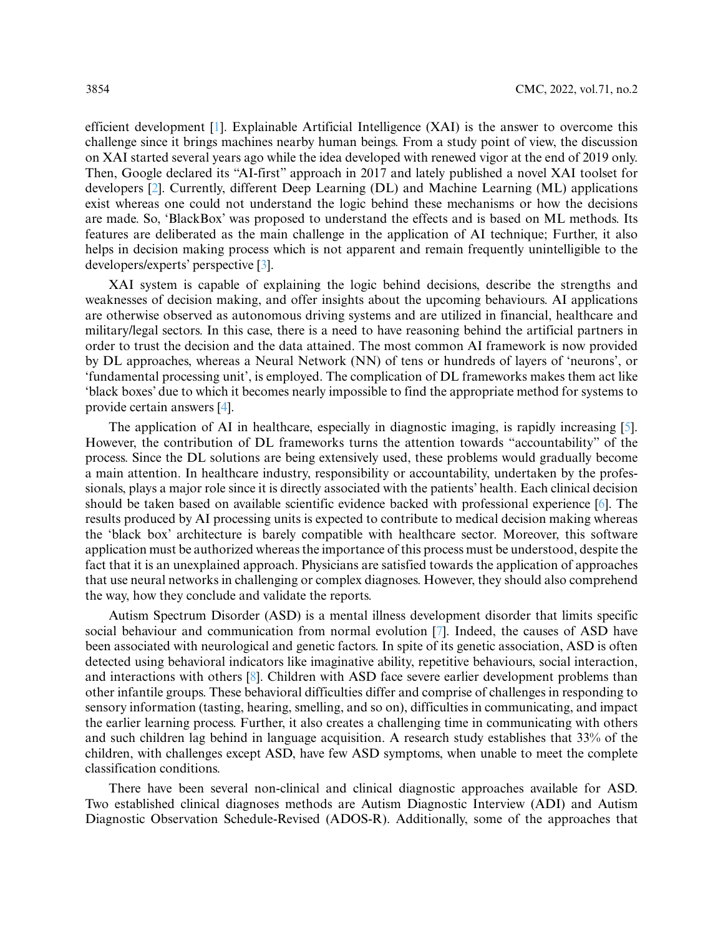efficient development [\[1\]](#page-13-0). Explainable Artificial Intelligence (XAI) is the answer to overcome this challenge since it brings machines nearby human beings. From a study point of view, the discussion on XAI started several years ago while the idea developed with renewed vigor at the end of 2019 only. Then, Google declared its "AI-first" approach in 2017 and lately published a novel XAI toolset for developers [\[2\]](#page-13-1). Currently, different Deep Learning (DL) and Machine Learning (ML) applications exist whereas one could not understand the logic behind these mechanisms or how the decisions are made. So, 'BlackBox' was proposed to understand the effects and is based on ML methods. Its features are deliberated as the main challenge in the application of AI technique; Further, it also helps in decision making process which is not apparent and remain frequently unintelligible to the developers/experts' perspective [\[3\]](#page-13-2).

XAI system is capable of explaining the logic behind decisions, describe the strengths and weaknesses of decision making, and offer insights about the upcoming behaviours. AI applications are otherwise observed as autonomous driving systems and are utilized in financial, healthcare and military/legal sectors. In this case, there is a need to have reasoning behind the artificial partners in order to trust the decision and the data attained. The most common AI framework is now provided by DL approaches, whereas a Neural Network (NN) of tens or hundreds of layers of 'neurons', or 'fundamental processing unit', is employed. The complication of DL frameworks makes them act like 'black boxes' due to which it becomes nearly impossible to find the appropriate method for systems to provide certain answers [\[4\]](#page-14-0).

The application of AI in healthcare, especially in diagnostic imaging, is rapidly increasing [\[5\]](#page-14-1). However, the contribution of DL frameworks turns the attention towards "accountability" of the process. Since the DL solutions are being extensively used, these problems would gradually become a main attention. In healthcare industry, responsibility or accountability, undertaken by the professionals, plays a major role since it is directly associated with the patients' health. Each clinical decision should be taken based on available scientific evidence backed with professional experience [\[6\]](#page-14-2). The results produced by AI processing units is expected to contribute to medical decision making whereas the 'black box' architecture is barely compatible with healthcare sector. Moreover, this software application must be authorized whereas the importance of this process must be understood, despite the fact that it is an unexplained approach. Physicians are satisfied towards the application of approaches that use neural networks in challenging or complex diagnoses. However, they should also comprehend the way, how they conclude and validate the reports.

Autism Spectrum Disorder (ASD) is a mental illness development disorder that limits specific social behaviour and communication from normal evolution [\[7\]](#page-14-3). Indeed, the causes of ASD have been associated with neurological and genetic factors. In spite of its genetic association, ASD is often detected using behavioral indicators like imaginative ability, repetitive behaviours, social interaction, and interactions with others [\[8\]](#page-14-4). Children with ASD face severe earlier development problems than other infantile groups. These behavioral difficulties differ and comprise of challenges in responding to sensory information (tasting, hearing, smelling, and so on), difficulties in communicating, and impact the earlier learning process. Further, it also creates a challenging time in communicating with others and such children lag behind in language acquisition. A research study establishes that 33% of the children, with challenges except ASD, have few ASD symptoms, when unable to meet the complete classification conditions.

There have been several non-clinical and clinical diagnostic approaches available for ASD. Two established clinical diagnoses methods are Autism Diagnostic Interview (ADI) and Autism Diagnostic Observation Schedule-Revised (ADOS-R). Additionally, some of the approaches that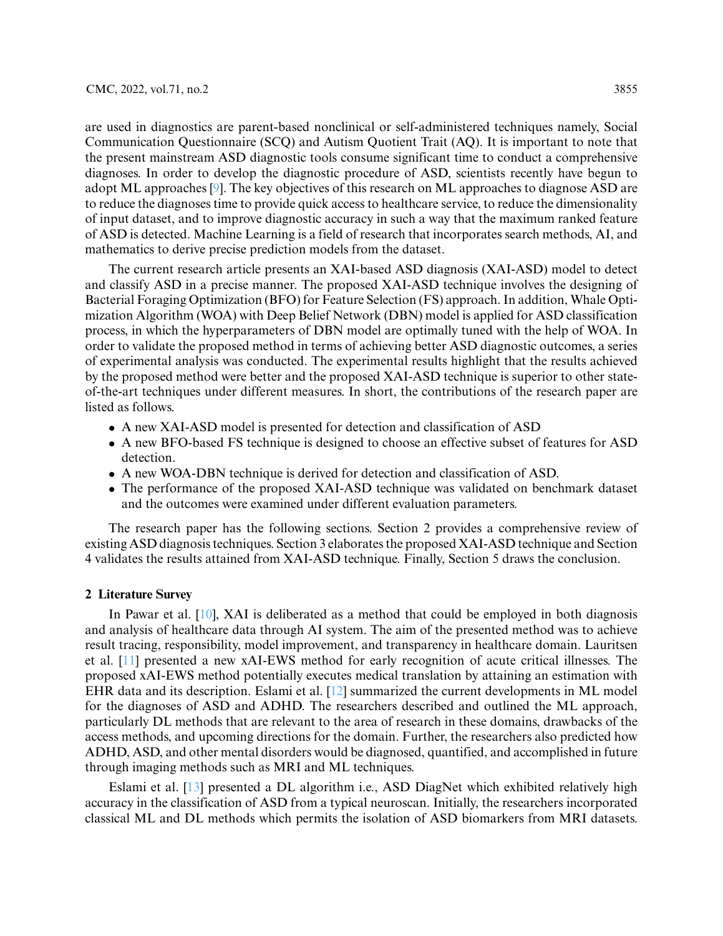are used in diagnostics are parent-based nonclinical or self-administered techniques namely, Social Communication Questionnaire (SCQ) and Autism Quotient Trait (AQ). It is important to note that the present mainstream ASD diagnostic tools consume significant time to conduct a comprehensive diagnoses. In order to develop the diagnostic procedure of ASD, scientists recently have begun to adopt ML approaches [\[9\]](#page-14-5). The key objectives of this research on ML approaches to diagnose ASD are to reduce the diagnoses time to provide quick access to healthcare service, to reduce the dimensionality of input dataset, and to improve diagnostic accuracy in such a way that the maximum ranked feature of ASD is detected. Machine Learning is a field of research that incorporates search methods, AI, and mathematics to derive precise prediction models from the dataset.

The current research article presents an XAI-based ASD diagnosis (XAI-ASD) model to detect and classify ASD in a precise manner. The proposed XAI-ASD technique involves the designing of Bacterial Foraging Optimization (BFO) for Feature Selection (FS) approach. In addition, Whale Optimization Algorithm (WOA) with Deep Belief Network (DBN) model is applied for ASD classification process, in which the hyperparameters of DBN model are optimally tuned with the help of WOA. In order to validate the proposed method in terms of achieving better ASD diagnostic outcomes, a series of experimental analysis was conducted. The experimental results highlight that the results achieved by the proposed method were better and the proposed XAI-ASD technique is superior to other stateof-the-art techniques under different measures. In short, the contributions of the research paper are listed as follows.

- A new XAI-ASD model is presented for detection and classification of ASD
- A new BFO-based FS technique is designed to choose an effective subset of features for ASD detection.
- A new WOA-DBN technique is derived for detection and classification of ASD.
- The performance of the proposed XAI-ASD technique was validated on benchmark dataset and the outcomes were examined under different evaluation parameters.

The research paper has the following sections. Section 2 provides a comprehensive review of existing ASD diagnosis techniques. Section 3 elaborates the proposed XAI-ASD technique and Section 4 validates the results attained from XAI-ASD technique. Finally, Section 5 draws the conclusion.

#### **2 Literature Survey**

In Pawar et al. [\[10\]](#page-14-6), XAI is deliberated as a method that could be employed in both diagnosis and analysis of healthcare data through AI system. The aim of the presented method was to achieve result tracing, responsibility, model improvement, and transparency in healthcare domain. Lauritsen et al. [\[11\]](#page-14-7) presented a new xAI-EWS method for early recognition of acute critical illnesses. The proposed xAI-EWS method potentially executes medical translation by attaining an estimation with EHR data and its description. Eslami et al. [\[12\]](#page-14-8) summarized the current developments in ML model for the diagnoses of ASD and ADHD. The researchers described and outlined the ML approach, particularly DL methods that are relevant to the area of research in these domains, drawbacks of the access methods, and upcoming directions for the domain. Further, the researchers also predicted how ADHD, ASD, and other mental disorders would be diagnosed, quantified, and accomplished in future through imaging methods such as MRI and ML techniques.

Eslami et al. [\[13\]](#page-14-9) presented a DL algorithm i.e., ASD DiagNet which exhibited relatively high accuracy in the classification of ASD from a typical neuroscan. Initially, the researchers incorporated classical ML and DL methods which permits the isolation of ASD biomarkers from MRI datasets.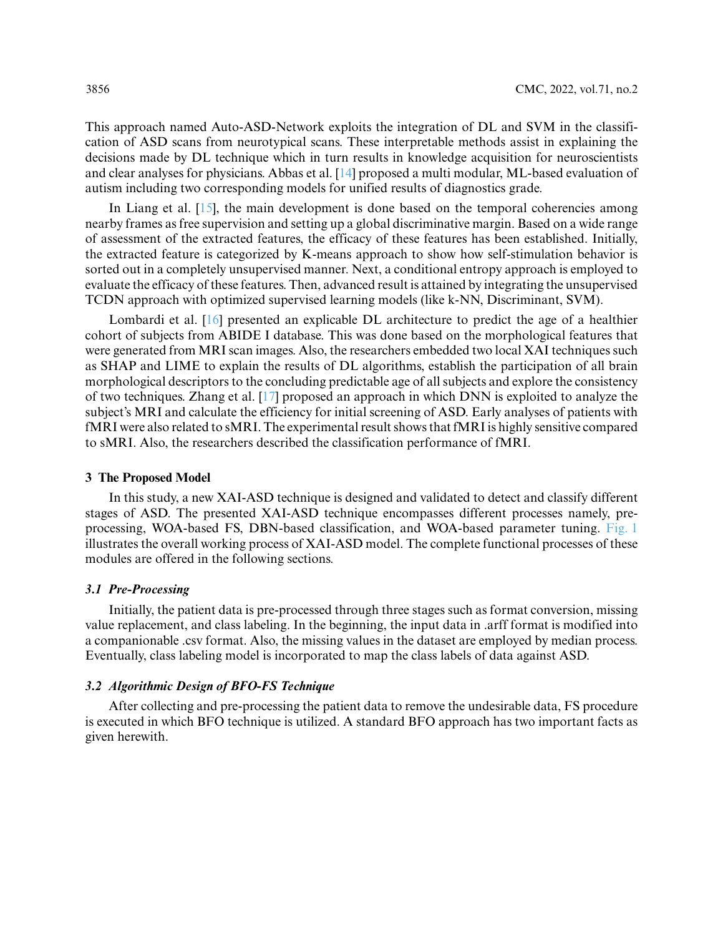This approach named Auto-ASD-Network exploits the integration of DL and SVM in the classification of ASD scans from neurotypical scans. These interpretable methods assist in explaining the decisions made by DL technique which in turn results in knowledge acquisition for neuroscientists and clear analyses for physicians. Abbas et al. [\[14\]](#page-14-10) proposed a multi modular, ML-based evaluation of autism including two corresponding models for unified results of diagnostics grade.

In Liang et al. [\[15\]](#page-14-11), the main development is done based on the temporal coherencies among nearby frames as free supervision and setting up a global discriminative margin. Based on a wide range of assessment of the extracted features, the efficacy of these features has been established. Initially, the extracted feature is categorized by K-means approach to show how self-stimulation behavior is sorted out in a completely unsupervised manner. Next, a conditional entropy approach is employed to evaluate the efficacy of these features. Then, advanced result is attained by integrating the unsupervised TCDN approach with optimized supervised learning models (like k-NN, Discriminant, SVM).

Lombardi et al. [\[16\]](#page-14-12) presented an explicable DL architecture to predict the age of a healthier cohort of subjects from ABIDE I database. This was done based on the morphological features that were generated from MRI scan images. Also, the researchers embedded two local XAI techniques such as SHAP and LIME to explain the results of DL algorithms, establish the participation of all brain morphological descriptors to the concluding predictable age of all subjects and explore the consistency of two techniques. Zhang et al. [\[17\]](#page-14-13) proposed an approach in which DNN is exploited to analyze the subject's MRI and calculate the efficiency for initial screening of ASD. Early analyses of patients with fMRI were also related to sMRI. The experimental result shows that fMRI is highly sensitive compared to sMRI. Also, the researchers described the classification performance of fMRI.

#### **3 The Proposed Model**

In this study, a new XAI-ASD technique is designed and validated to detect and classify different stages of ASD. The presented XAI-ASD technique encompasses different processes namely, preprocessing, WOA-based FS, DBN-based classification, and WOA-based parameter tuning. [Fig. 1](#page-4-0) illustrates the overall working process of XAI-ASD model. The complete functional processes of these modules are offered in the following sections.

#### *3.1 Pre-Processing*

Initially, the patient data is pre-processed through three stages such as format conversion, missing value replacement, and class labeling. In the beginning, the input data in .arff format is modified into a companionable .csv format. Also, the missing values in the dataset are employed by median process. Eventually, class labeling model is incorporated to map the class labels of data against ASD.

# *3.2 Algorithmic Design of BFO-FS Technique*

After collecting and pre-processing the patient data to remove the undesirable data, FS procedure is executed in which BFO technique is utilized. A standard BFO approach has two important facts as given herewith.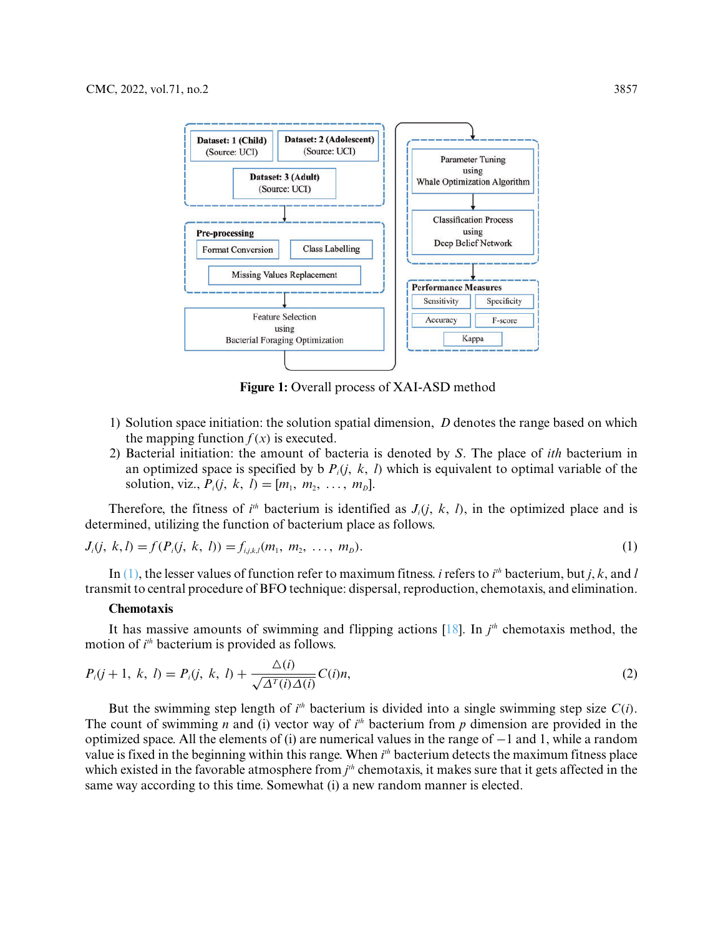

<span id="page-4-1"></span>**Figure 1:** Overall process of XAI-ASD method

- <span id="page-4-0"></span>1) Solution space initiation: the solution spatial dimension, *D* denotes the range based on which the mapping function  $f(x)$  is executed.
- 2) Bacterial initiation: the amount of bacteria is denoted by *S*. The place of *ith* bacterium in an optimized space is specified by b  $P_i(i, k, l)$  which is equivalent to optimal variable of the solution, viz.,  $P_i$ *(i, k, l)* = [ $m_1, m_2, ..., m_D$ ].

Therefore, the fitness of  $i<sup>th</sup>$  bacterium is identified as  $J<sub>i</sub>(j, k, l)$ , in the optimized place and is determined, utilizing the function of bacterium place as follows.

$$
J_i(j, k, l) = f(P_i(j, k, l)) = f_{i,j,k,l}(m_1, m_2, ..., m_b).
$$
\n(1)

In  $(1)$ , the lesser values of function refer to maximum fitness. *i* refers to *i*<sup>th</sup> bacterium, but *j*, *k*, and *l* transmit to central procedure of BFO technique: dispersal, reproduction, chemotaxis, and elimination.

#### **Chemotaxis**

It has massive amounts of swimming and flipping actions  $[18]$ . In  $j<sup>th</sup>$  chemotaxis method, the motion of *i th* bacterium is provided as follows.

$$
P_i(j+1, k, l) = P_i(j, k, l) + \frac{\Delta(i)}{\sqrt{\Delta^T(i)\Delta(i)}} C(i)n,
$$
\n(2)

But the swimming step length of  $i<sup>th</sup>$  bacterium is divided into a single swimming step size  $C(i)$ . The count of swimming *n* and (i) vector way of  $i<sup>th</sup>$  bacterium from *p* dimension are provided in the optimized space. All the elements of (i) are numerical values in the range of −1 and 1, while a random value is fixed in the beginning within this range. When *i th* bacterium detects the maximum fitness place which existed in the favorable atmosphere from  $j<sup>th</sup>$  chemotaxis, it makes sure that it gets affected in the same way according to this time. Somewhat (i) a new random manner is elected.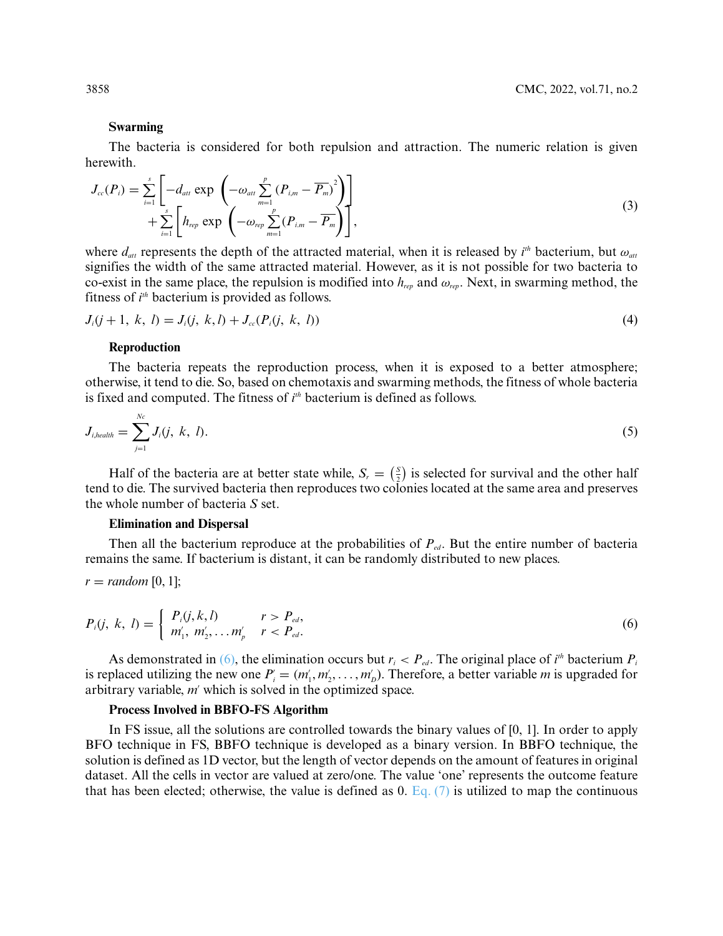#### **Swarming**

The bacteria is considered for both repulsion and attraction. The numeric relation is given herewith.

$$
J_{cc}(P_i) = \sum_{i=1}^s \left[ -d_{att} \exp\left( -\omega_{att} \sum_{m=1}^p (P_{i,m} - \overline{P_m})^2 \right) \right] + \sum_{i=1}^s \left[ h_{rep} \exp\left( -\omega_{rep} \sum_{m=1}^p (P_{i,m} - \overline{P_m}) \right) \right],
$$
\n(3)

where  $d_{att}$  represents the depth of the attracted material, when it is released by  $i^{th}$  bacterium, but  $\omega_{att}$ signifies the width of the same attracted material. However, as it is not possible for two bacteria to co-exist in the same place, the repulsion is modified into *hrep* and *ωrep*. Next, in swarming method, the fitness of *i th* bacterium is provided as follows.

$$
J_i(j+1, k, l) = J_i(j, k, l) + J_{cc}(P_i(j, k, l))
$$
\n(4)

#### **Reproduction**

The bacteria repeats the reproduction process, when it is exposed to a better atmosphere; otherwise, it tend to die. So, based on chemotaxis and swarming methods, the fitness of whole bacteria is fixed and computed. The fitness of *i th* bacterium is defined as follows.

$$
J_{i, health} = \sum_{j=1}^{Nc} J_i(j, k, l). \tag{5}
$$

Half of the bacteria are at better state while,  $S_r = \left(\frac{s}{2}\right)$  is selected for survival and the other half tend to die. The survived bacteria then reproduces two colonies located at the same area and preserves the whole number of bacteria *S* set.

### **Elimination and Dispersal**

Then all the bacterium reproduce at the probabilities of  $P_{ed}$ . But the entire number of bacteria remains the same. If bacterium is distant, it can be randomly distributed to new places.

$$
r = random [0, 1];
$$

<span id="page-5-0"></span>
$$
P_i(j, k, l) = \begin{cases} P_i(j, k, l) & r > P_{ed}, \\ m'_1, m'_2, \dots m'_p & r < P_{ed}. \end{cases}
$$
 (6)

As demonstrated in [\(6\),](#page-5-0) the elimination occurs but  $r_i < P_{ed}$ . The original place of  $i<sup>th</sup>$  bacterium  $P_i$ is replaced utilizing the new one  $P_i = (m'_1, m'_2, \dots, m'_D)$ . Therefore, a better variable *m* is upgraded for arbitrary variable, *m'* which is solved in the optimized space.

#### **Process Involved in BBFO-FS Algorithm**

In FS issue, all the solutions are controlled towards the binary values of [0, 1]. In order to apply BFO technique in FS, BBFO technique is developed as a binary version. In BBFO technique, the solution is defined as 1D vector, but the length of vector depends on the amount of features in original dataset. All the cells in vector are valued at zero/one. The value 'one' represents the outcome feature that has been elected; otherwise, the value is defined as 0. Eq.  $(7)$  is utilized to map the continuous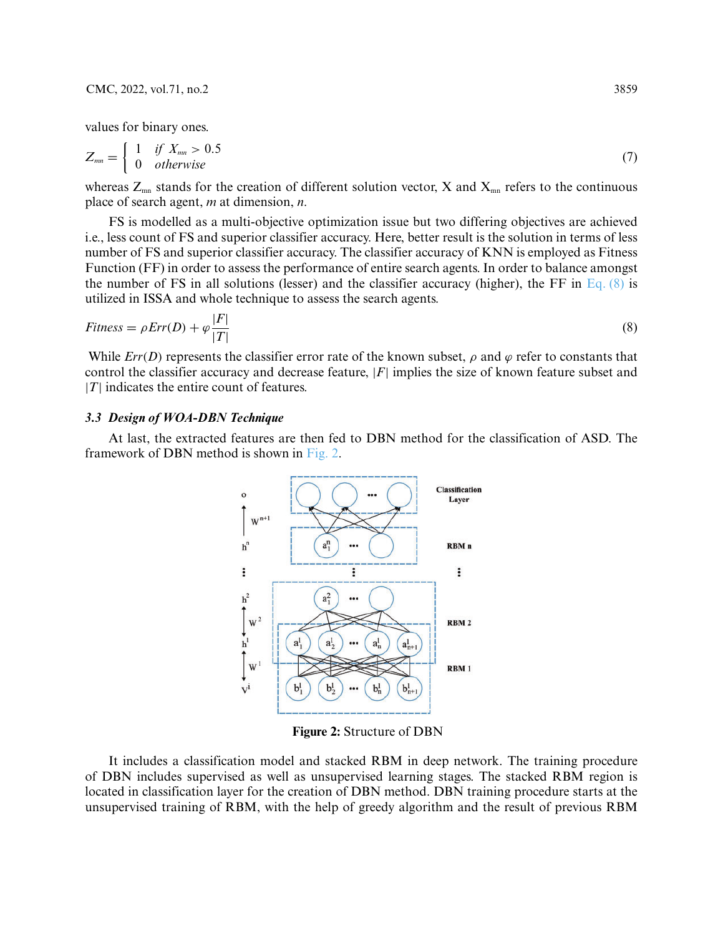values for binary ones.

<span id="page-6-0"></span>
$$
Z_{mn} = \begin{cases} 1 & \text{if } X_{mn} > 0.5 \\ 0 & \text{otherwise} \end{cases}
$$
 (7)

whereas  $Z_{mn}$  stands for the creation of different solution vector, X and  $X_{mn}$  refers to the continuous place of search agent, *m* at dimension, *n*.

FS is modelled as a multi-objective optimization issue but two differing objectives are achieved i.e., less count of FS and superior classifier accuracy. Here, better result is the solution in terms of less number of FS and superior classifier accuracy. The classifier accuracy of KNN is employed as Fitness Function (FF) in order to assess the performance of entire search agents. In order to balance amongst the number of FS in all solutions (lesser) and the classifier accuracy (higher), the FF in [Eq. \(8\)](#page-6-1) is utilized in ISSA and whole technique to assess the search agents.

$$
Fitness = \rho Err(D) + \varphi \frac{|F|}{|T|} \tag{8}
$$

While  $Err(D)$  represents the classifier error rate of the known subset,  $\rho$  and  $\varphi$  refer to constants that control the classifier accuracy and decrease feature, |*F*| implies the size of known feature subset and  $|T|$  indicates the entire count of features.

#### *3.3 Design of WOA-DBN Technique*

At last, the extracted features are then fed to DBN method for the classification of ASD. The framework of DBN method is shown in [Fig. 2.](#page-6-2)

<span id="page-6-1"></span>

**Figure 2:** Structure of DBN

<span id="page-6-2"></span>It includes a classification model and stacked RBM in deep network. The training procedure of DBN includes supervised as well as unsupervised learning stages. The stacked RBM region is located in classification layer for the creation of DBN method. DBN training procedure starts at the unsupervised training of RBM, with the help of greedy algorithm and the result of previous RBM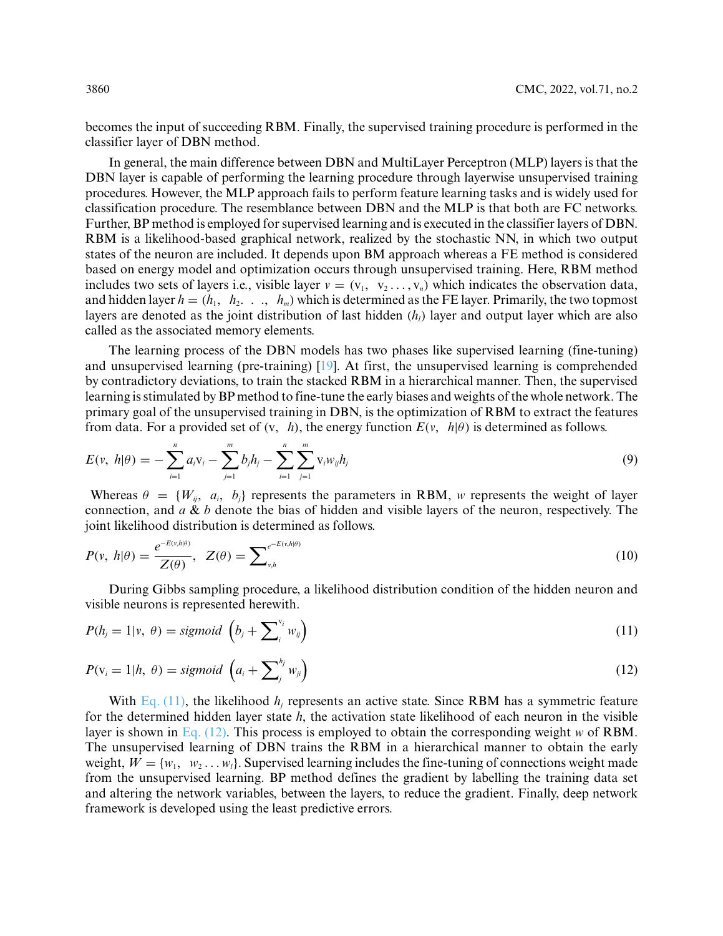becomes the input of succeeding RBM. Finally, the supervised training procedure is performed in the classifier layer of DBN method.

In general, the main difference between DBN and MultiLayer Perceptron (MLP) layers is that the DBN layer is capable of performing the learning procedure through layerwise unsupervised training procedures. However, the MLP approach fails to perform feature learning tasks and is widely used for classification procedure. The resemblance between DBN and the MLP is that both are FC networks. Further, BP method is employed for supervised learning and is executed in the classifier layers of DBN. RBM is a likelihood-based graphical network, realized by the stochastic NN, in which two output states of the neuron are included. It depends upon BM approach whereas a FE method is considered based on energy model and optimization occurs through unsupervised training. Here, RBM method includes two sets of layers i.e., visible layer  $v = (v_1, v_2, \ldots, v_n)$  which indicates the observation data, and hidden layer  $h = (h_1, h_2, \ldots, h_m)$  which is determined as the FE layer. Primarily, the two topmost layers are denoted as the joint distribution of last hidden  $(h_i)$  layer and output layer which are also called as the associated memory elements.

The learning process of the DBN models has two phases like supervised learning (fine-tuning) and unsupervised learning (pre-training) [\[19\]](#page-14-15). At first, the unsupervised learning is comprehended by contradictory deviations, to train the stacked RBM in a hierarchical manner. Then, the supervised learning is stimulated by BP method to fine-tune the early biases and weights of the whole network. The primary goal of the unsupervised training in DBN, is the optimization of RBM to extract the features from data. For a provided set of  $(v, h)$ , the energy function  $E(v, h|\theta)$  is determined as follows.

$$
E(v, h|\theta) = -\sum_{i=1}^{n} a_i v_i - \sum_{j=1}^{m} b_j h_j - \sum_{i=1}^{n} \sum_{j=1}^{m} v_i w_{ij} h_j
$$
\n(9)

Whereas  $\theta = \{W_{ij}, a_i, b_j\}$  represents the parameters in RBM, *w* represents the weight of layer connection, and *a* & *b* denote the bias of hidden and visible layers of the neuron, respectively. The joint likelihood distribution is determined as follows.

$$
P(v, h|\theta) = \frac{e^{-E(v, h|\theta)}}{Z(\theta)}, \quad Z(\theta) = \sum\nolimits_{v, h}^{e^{-E(v, h|\theta)}} \tag{10}
$$

During Gibbs sampling procedure, a likelihood distribution condition of the hidden neuron and visible neurons is represented herewith.

<span id="page-7-0"></span>
$$
P(h_j = 1 | v, \theta) = sigmoid\left(b_j + \sum_{i}^{v_i} w_{ij}\right) \tag{11}
$$

<span id="page-7-1"></span>
$$
P(\mathbf{v}_i = 1 | h, \theta) = sigmoid\left(a_i + \sum_{j}^{h_j} w_{ji}\right)
$$
\n(12)

With [Eq. \(11\),](#page-7-0) the likelihood *h<sub>i</sub>* represents an active state. Since RBM has a symmetric feature for the determined hidden layer state *h*, the activation state likelihood of each neuron in the visible layer is shown in [Eq. \(12\).](#page-7-1) This process is employed to obtain the corresponding weight *w* of RBM. The unsupervised learning of DBN trains the RBM in a hierarchical manner to obtain the early weight,  $W = \{w_1, w_2, \ldots, w_l\}$ . Supervised learning includes the fine-tuning of connections weight made from the unsupervised learning. BP method defines the gradient by labelling the training data set and altering the network variables, between the layers, to reduce the gradient. Finally, deep network framework is developed using the least predictive errors.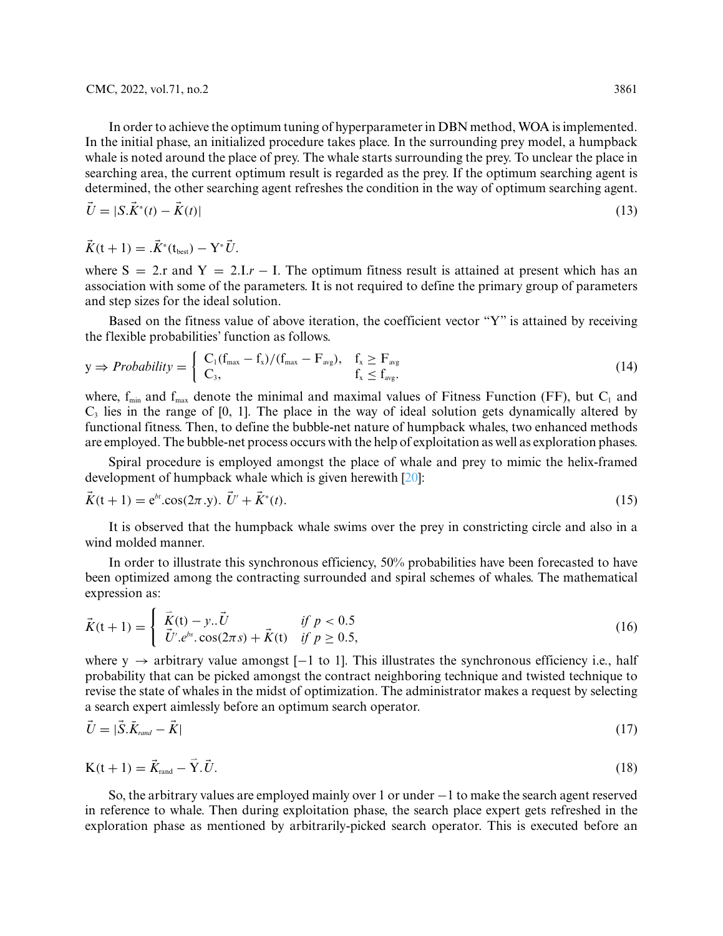In order to achieve the optimum tuning of hyperparameter in DBN method, WOA is implemented. In the initial phase, an initialized procedure takes place. In the surrounding prey model, a humpback whale is noted around the place of prey. The whale starts surrounding the prey. To unclear the place in searching area, the current optimum result is regarded as the prey. If the optimum searching agent is determined, the other searching agent refreshes the condition in the way of optimum searching agent.

$$
\vec{U} = |S \cdot \vec{K}^*(t) - \vec{K}(t)| \tag{13}
$$

$$
\vec{K}(t+1) = .\vec{K}^*(t_{\text{best}}) - Y^* \vec{U}.
$$

where  $S = 2r$  and  $Y = 2\pi r$  – I. The optimum fitness result is attained at present which has an association with some of the parameters. It is not required to define the primary group of parameters and step sizes for the ideal solution.

Based on the fitness value of above iteration, the coefficient vector "Y" is attained by receiving the flexible probabilities' function as follows.

$$
y \Rightarrow \text{Probability} = \begin{cases} C_1(f_{\text{max}} - f_x)/(f_{\text{max}} - F_{\text{avg}}), & f_x \ge F_{\text{avg}} \\ C_3, & f_x \le f_{\text{avg}}. \end{cases}
$$
(14)

where,  $f_{min}$  and  $f_{max}$  denote the minimal and maximal values of Fitness Function (FF), but  $C_1$  and  $C<sub>3</sub>$  lies in the range of [0, 1]. The place in the way of ideal solution gets dynamically altered by functional fitness. Then, to define the bubble-net nature of humpback whales, two enhanced methods are employed. The bubble-net process occurs with the help of exploitation as well as exploration phases.

Spiral procedure is employed amongst the place of whale and prey to mimic the helix-framed development of humpback whale which is given herewith [\[20\]](#page-14-16):

$$
\vec{K}(t+1) = e^{bt} \cdot \cos(2\pi \cdot y). \quad \vec{U}' + \vec{K}^*(t). \tag{15}
$$

It is observed that the humpback whale swims over the prey in constricting circle and also in a wind molded manner.

In order to illustrate this synchronous efficiency, 50% probabilities have been forecasted to have been optimized among the contracting surrounded and spiral schemes of whales. The mathematical expression as:

$$
\vec{K}(t+1) = \begin{cases}\n\vec{K}(t) - y...\vec{U} & \text{if } p < 0.5 \\
\vec{U}'.e^{bs}.\cos(2\pi s) + \vec{K}(t) & \text{if } p \ge 0.5,\n\end{cases}
$$
\n(16)

where y  $\rightarrow$  arbitrary value amongst [-1 to 1]. This illustrates the synchronous efficiency i.e., half probability that can be picked amongst the contract neighboring technique and twisted technique to revise the state of whales in the midst of optimization. The administrator makes a request by selecting a search expert aimlessly before an optimum search operator.

$$
\vec{U} = |\vec{S}.\vec{K}_{rand} - \vec{K}| \tag{17}
$$

$$
K(t+1) = \vec{K}_{\text{rand}} - \vec{Y} \cdot \vec{U}.
$$
\n(18)

So, the arbitrary values are employed mainly over 1 or under −1 to make the search agent reserved in reference to whale. Then during exploitation phase, the search place expert gets refreshed in the exploration phase as mentioned by arbitrarily-picked search operator. This is executed before an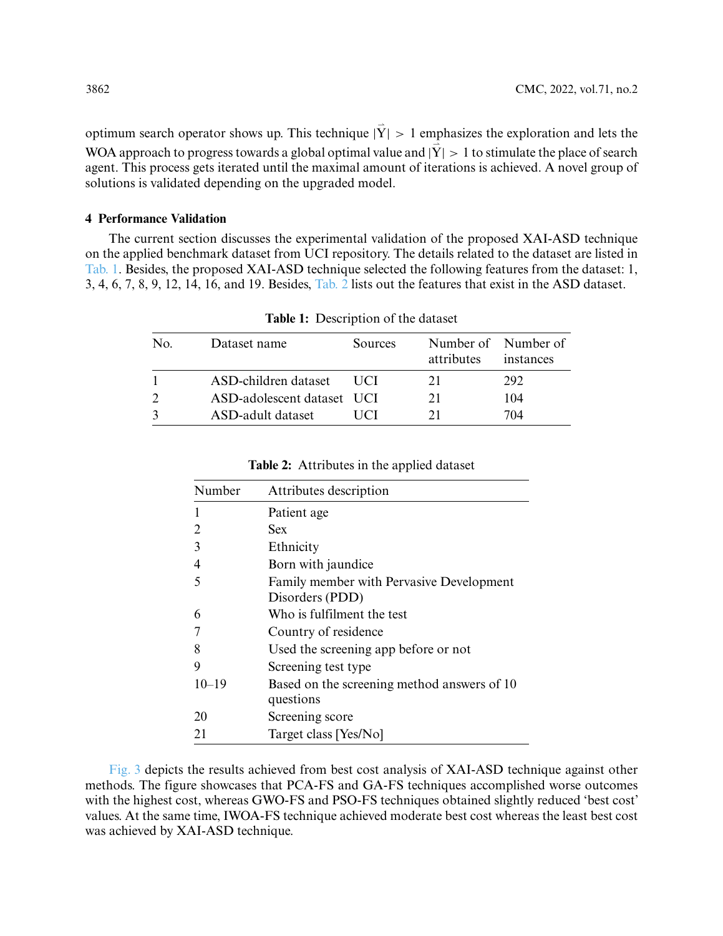optimum search operator shows up. This technique  $|\vec{Y}| > 1$  emphasizes the exploration and lets the WOA approach to progress towards a global optimal value and  $|\vec{Y}| > 1$  to stimulate the place of search agent. This process gets iterated until the maximal amount of iterations is achieved. A novel group of solutions is validated depending on the upgraded model.

### **4 Performance Validation**

The current section discusses the experimental validation of the proposed XAI-ASD technique on the applied benchmark dataset from UCI repository. The details related to the dataset are listed in [Tab. 1.](#page-9-0) Besides, the proposed XAI-ASD technique selected the following features from the dataset: 1, 3, 4, 6, 7, 8, 9, 12, 14, 16, and 19. Besides, [Tab. 2](#page-9-1) lists out the features that exist in the ASD dataset.

<span id="page-9-0"></span>

| No. | Dataset name               | Sources | Number of Number of<br>attributes | instances |
|-----|----------------------------|---------|-----------------------------------|-----------|
|     | ASD-children dataset       | UC I    | 21                                | 292       |
|     | ASD-adolescent dataset UCI |         | 21                                | 104       |
|     | ASD-adult dataset          |         | 21                                | 704       |

**Table 1:** Description of the dataset

<span id="page-9-1"></span>

| Number    | Attributes description                                      |
|-----------|-------------------------------------------------------------|
|           | Patient age                                                 |
| 2         | <b>Sex</b>                                                  |
| 3         | Ethnicity                                                   |
| 4         | Born with jaundice                                          |
| 5         | Family member with Pervasive Development<br>Disorders (PDD) |
| 6         | Who is fulfilment the test                                  |
|           | Country of residence                                        |
| 8         | Used the screening app before or not                        |
| 9         | Screening test type                                         |
| $10 - 19$ | Based on the screening method answers of 10<br>questions    |
| 20        | Screening score                                             |
| 21        | Target class [Yes/No]                                       |

**Table 2:** Attributes in the applied dataset

[Fig. 3](#page-10-0) depicts the results achieved from best cost analysis of XAI-ASD technique against other methods. The figure showcases that PCA-FS and GA-FS techniques accomplished worse outcomes with the highest cost, whereas GWO-FS and PSO-FS techniques obtained slightly reduced 'best cost' values. At the same time, IWOA-FS technique achieved moderate best cost whereas the least best cost was achieved by XAI-ASD technique.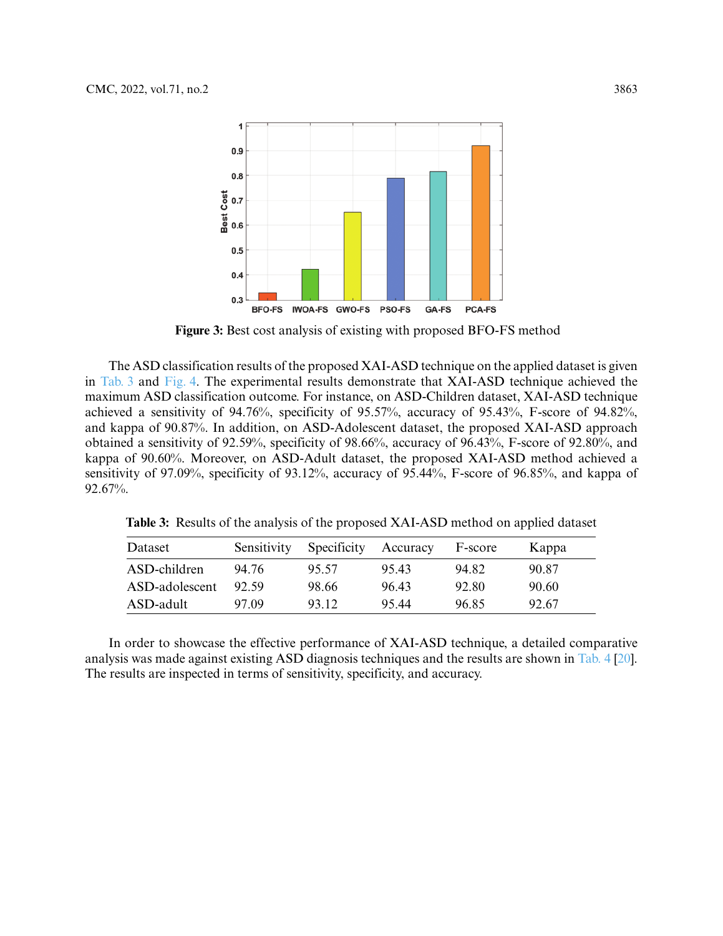

**Figure 3:** Best cost analysis of existing with proposed BFO-FS method

<span id="page-10-0"></span>The ASD classification results of the proposed XAI-ASD technique on the applied dataset is given in [Tab. 3](#page-10-1) and [Fig. 4.](#page-11-0) The experimental results demonstrate that XAI-ASD technique achieved the maximum ASD classification outcome. For instance, on ASD-Children dataset, XAI-ASD technique achieved a sensitivity of 94.76%, specificity of 95.57%, accuracy of 95.43%, F-score of 94.82%, and kappa of 90.87%. In addition, on ASD-Adolescent dataset, the proposed XAI-ASD approach obtained a sensitivity of 92.59%, specificity of 98.66%, accuracy of 96.43%, F-score of 92.80%, and kappa of 90.60%. Moreover, on ASD-Adult dataset, the proposed XAI-ASD method achieved a sensitivity of 97.09%, specificity of 93.12%, accuracy of 95.44%, F-score of 96.85%, and kappa of 92.67%.

<span id="page-10-1"></span>**Table 3:** Results of the analysis of the proposed XAI-ASD method on applied dataset

| Dataset        | Sensitivity | Specificity | Accuracy | F-score | Kappa |
|----------------|-------------|-------------|----------|---------|-------|
| ASD-children   | 94.76       | 95.57       | 95.43    | 94.82   | 90.87 |
| ASD-adolescent | 92.59       | 98.66       | 96.43    | 92.80   | 90.60 |
| ASD-adult      | 97.09       | 93.12       | 95.44    | 96.85   | 92.67 |

In order to showcase the effective performance of XAI-ASD technique, a detailed comparative analysis was made against existing ASD diagnosis techniques and the results are shown in [Tab. 4](#page-11-1) [\[20\]](#page-14-16). The results are inspected in terms of sensitivity, specificity, and accuracy.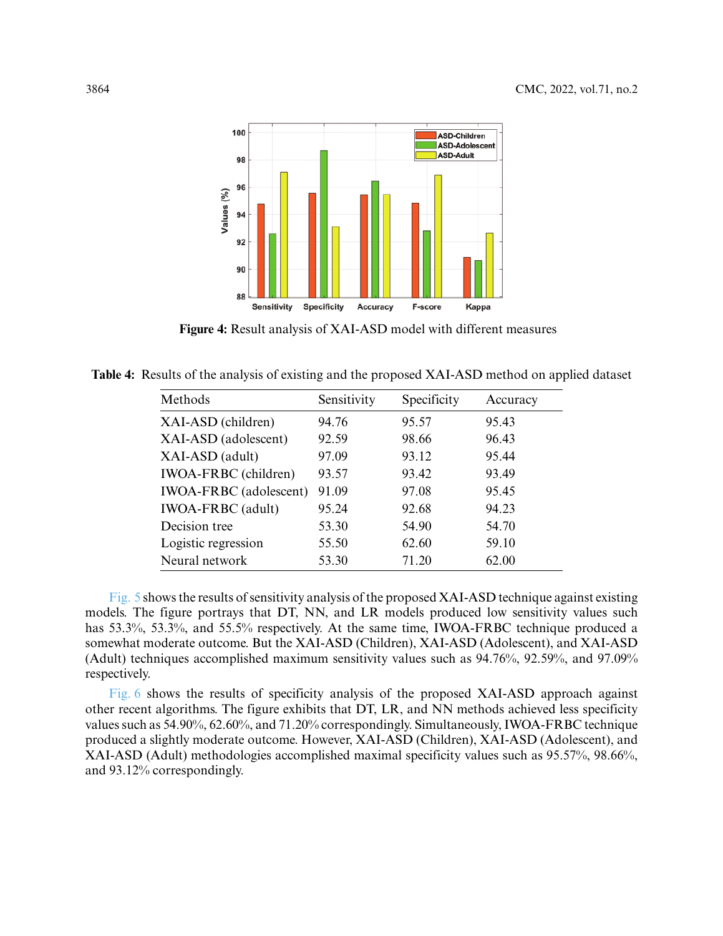

**Figure 4:** Result analysis of XAI-ASD model with different measures

<span id="page-11-1"></span><span id="page-11-0"></span>**Table 4:** Results of the analysis of existing and the proposed XAI-ASD method on applied dataset

| Methods                       | Sensitivity | Specificity | Accuracy |
|-------------------------------|-------------|-------------|----------|
| XAI-ASD (children)            | 94.76       | 95.57       | 95.43    |
| XAI-ASD (adolescent)          | 92.59       | 98.66       | 96.43    |
| XAI-ASD (adult)               | 97.09       | 93.12       | 95.44    |
| <b>IWOA-FRBC</b> (children)   | 93.57       | 93.42       | 93.49    |
| <b>IWOA-FRBC</b> (adolescent) | 91.09       | 97.08       | 95.45    |
| <b>IWOA-FRBC</b> (adult)      | 95.24       | 92.68       | 94.23    |
| Decision tree                 | 53.30       | 54.90       | 54.70    |
| Logistic regression           | 55.50       | 62.60       | 59.10    |
| Neural network                | 53.30       | 71.20       | 62.00    |

[Fig. 5](#page-12-0) shows the results of sensitivity analysis of the proposed XAI-ASD technique against existing models. The figure portrays that DT, NN, and LR models produced low sensitivity values such has 53.3%, 53.3%, and 55.5% respectively. At the same time, IWOA-FRBC technique produced a somewhat moderate outcome. But the XAI-ASD (Children), XAI-ASD (Adolescent), and XAI-ASD (Adult) techniques accomplished maximum sensitivity values such as 94.76%, 92.59%, and 97.09% respectively.

[Fig. 6](#page-12-1) shows the results of specificity analysis of the proposed XAI-ASD approach against other recent algorithms. The figure exhibits that DT, LR, and NN methods achieved less specificity values such as 54.90%, 62.60%, and 71.20% correspondingly. Simultaneously, IWOA-FRBC technique produced a slightly moderate outcome. However, XAI-ASD (Children), XAI-ASD (Adolescent), and XAI-ASD (Adult) methodologies accomplished maximal specificity values such as 95.57%, 98.66%, and 93.12% correspondingly.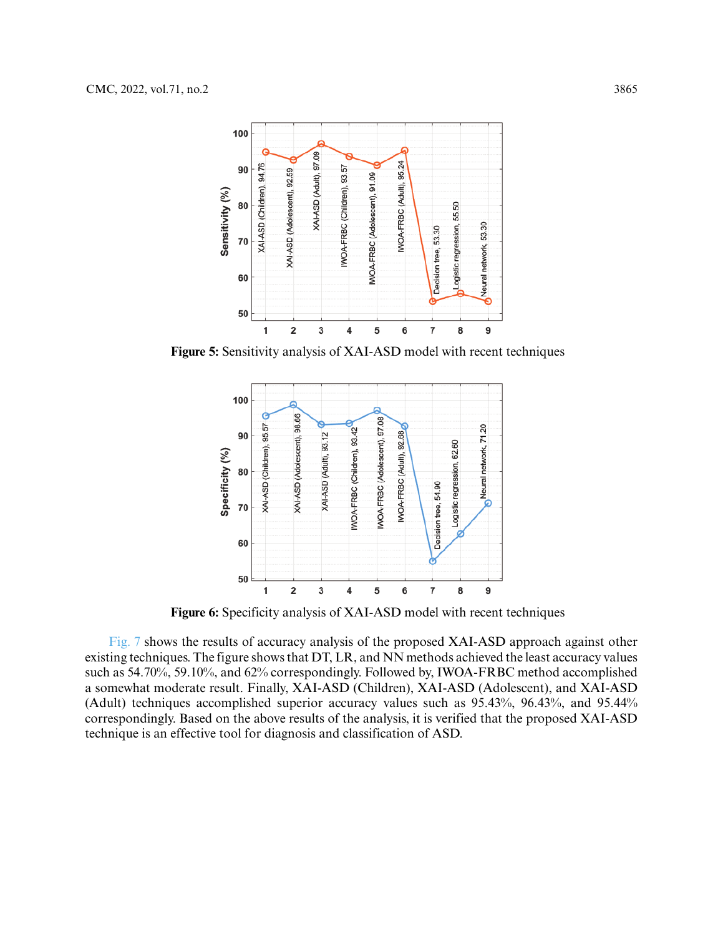

<span id="page-12-0"></span>**Figure 5:** Sensitivity analysis of XAI-ASD model with recent techniques



**Figure 6:** Specificity analysis of XAI-ASD model with recent techniques

<span id="page-12-1"></span>[Fig. 7](#page-13-3) shows the results of accuracy analysis of the proposed XAI-ASD approach against other existing techniques. The figure shows that DT, LR, and NN methods achieved the least accuracy values such as 54.70%, 59.10%, and 62% correspondingly. Followed by, IWOA-FRBC method accomplished a somewhat moderate result. Finally, XAI-ASD (Children), XAI-ASD (Adolescent), and XAI-ASD (Adult) techniques accomplished superior accuracy values such as 95.43%, 96.43%, and 95.44% correspondingly. Based on the above results of the analysis, it is verified that the proposed XAI-ASD technique is an effective tool for diagnosis and classification of ASD.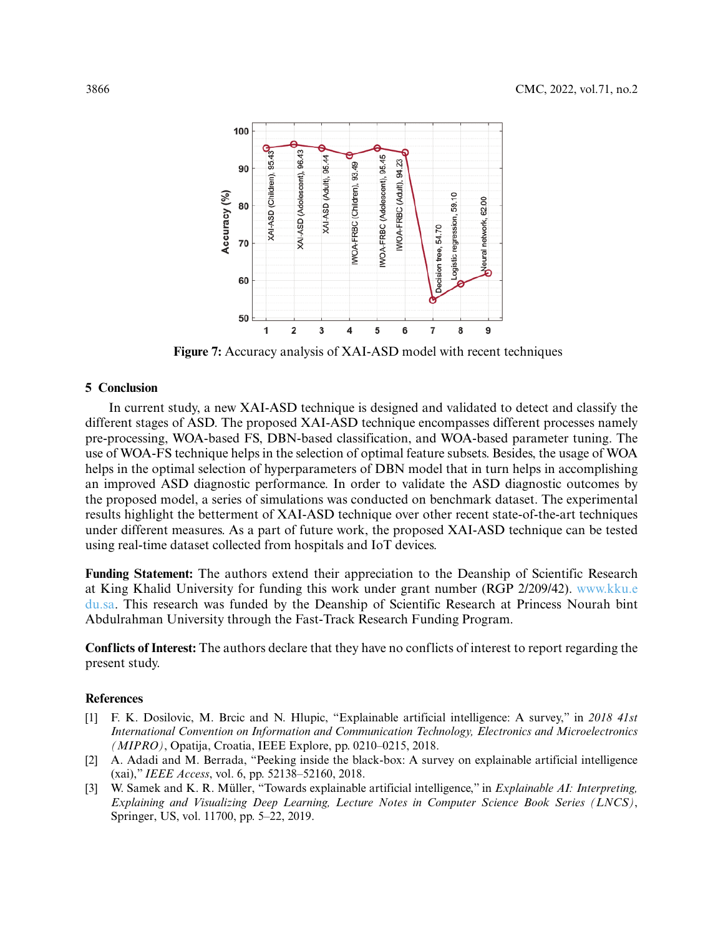

**Figure 7:** Accuracy analysis of XAI-ASD model with recent techniques

# <span id="page-13-3"></span>**5 Conclusion**

In current study, a new XAI-ASD technique is designed and validated to detect and classify the different stages of ASD. The proposed XAI-ASD technique encompasses different processes namely pre-processing, WOA-based FS, DBN-based classification, and WOA-based parameter tuning. The use of WOA-FS technique helps in the selection of optimal feature subsets. Besides, the usage of WOA helps in the optimal selection of hyperparameters of DBN model that in turn helps in accomplishing an improved ASD diagnostic performance. In order to validate the ASD diagnostic outcomes by the proposed model, a series of simulations was conducted on benchmark dataset. The experimental results highlight the betterment of XAI-ASD technique over other recent state-of-the-art techniques under different measures. As a part of future work, the proposed XAI-ASD technique can be tested using real-time dataset collected from hospitals and IoT devices.

**Funding Statement:** The authors extend their appreciation to the Deanship of Scientific Research at King Khalid University for funding this work under grant number (RGP 2/209/42). [www.kku.e](www.kku.edu.sa) [du.sa.](www.kku.edu.sa) This research was funded by the Deanship of Scientific Research at Princess Nourah bint Abdulrahman University through the Fast-Track Research Funding Program.

**Conflicts of Interest:** The authors declare that they have no conflicts of interest to report regarding the present study.

# **References**

- <span id="page-13-0"></span>[1] F. K. Dosilovic, M. Brcic and N. Hlupic, "Explainable artificial intelligence: A survey," in *2018 41st International Convention on Information and Communication Technology, Electronics and Microelectronics (MIPRO)*, Opatija, Croatia, IEEE Explore, pp. 0210–0215, 2018.
- <span id="page-13-1"></span>[2] A. Adadi and M. Berrada, "Peeking inside the black-box: A survey on explainable artificial intelligence (xai)," *IEEE Access*, vol. 6, pp. 52138–52160, 2018.
- <span id="page-13-2"></span>[3] W. Samek and K. R. Müller, "Towards explainable artificial intelligence," in *Explainable AI: Interpreting, Explaining and Visualizing Deep Learning, Lecture Notes in Computer Science Book Series (LNCS)*, Springer, US, vol. 11700, pp. 5–22, 2019.